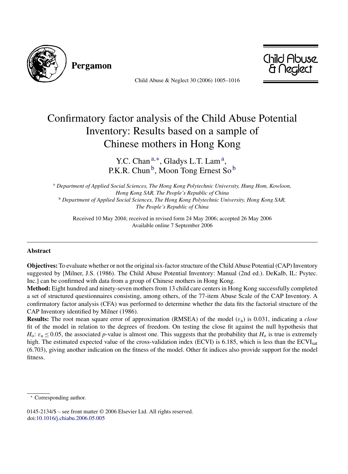

Pergamon

Child Abuse & Neglect 30 (2006) 1005–1016



## Confirmatory factor analysis of the Child Abuse Potential Inventory: Results based on a sample of Chinese mothers in Hong Kong

Y.C. Chan<sup>a,∗</sup>, Gladys L.T. Lam<sup>a</sup>, P.K.R. Chun<sup>b</sup>, Moon Tong Ernest So<sup>b</sup>

<sup>a</sup> *Department of Applied Social Sciences, The Hong Kong Polytechnic University, Hung Hom, Kowloon, Hong Kong SAR, The People's Republic of China* <sup>b</sup> *Department of Applied Social Sciences, The Hong Kong Polytechnic University, Hong Kong SAR, The People's Republic of China*

Received 10 May 2004; received in revised form 24 May 2006; accepted 26 May 2006 Available online 7 September 2006

## **Abstract**

**Objectives:** To evaluate whether or not the original six-factor structure of the Child Abuse Potential (CAP) Inventory suggested by [Milner, J.S. (1986). The Child Abuse Potential Inventory: Manual (2nd ed.). DeKalb, IL: Psytec. Inc.] can be confirmed with data from a group of Chinese mothers in Hong Kong.

**Method:** Eight hundred and ninety-seven mothers from 13 child care centers in Hong Kong successfully completed a set of structured questionnaires consisting, among others, of the 77-item Abuse Scale of the CAP Inventory. A confirmatory factor analysis (CFA) was performed to determine whether the data fits the factorial structure of the CAP Inventory identified by Milner (1986).

**Results:** The root mean square error of approximation (RMSEA) of the model ( $\varepsilon_a$ ) is 0.031, indicating a *close* fit of the model in relation to the degrees of freedom. On testing the close fit against the null hypothesis that  $H_0$ :  $\varepsilon_a \le 0.05$ , the associated *p*-value is almost one. This suggests that the probability that  $H_0$  is true is extremely high. The estimated expected value of the cross-validation index (ECVI) is 6.185, which is less than the ECVI<sub>sat</sub> (6.703), giving another indication on the fitness of the model. Other fit indices also provide support for the model fitness.

Corresponding author.

<sup>0145-2134/\$ –</sup> see front matter © 2006 Elsevier Ltd. All rights reserved. doi:[10.1016/j.chiabu.2006.05.005](dx.doi.org/10.1016/j.chiabu.2006.05.005)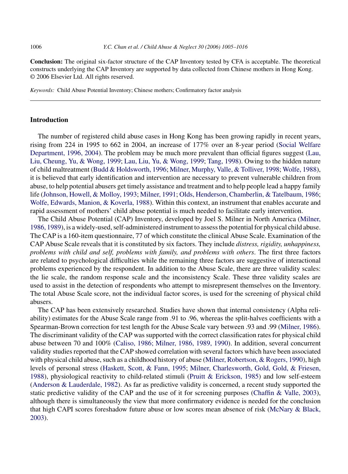**Conclusion:** The original six-factor structure of the CAP Inventory tested by CFA is acceptable. The theoretical constructs underlying the CAP Inventory are supported by data collected from Chinese mothers in Hong Kong. © 2006 Elsevier Ltd. All rights reserved.

*Keywords:* Child Abuse Potential Inventory; Chinese mothers; Confirmatory factor analysis

## **Introduction**

The number of registered child abuse cases in Hong Kong has been growing rapidly in recent years, rising from 224 in 1995 to 662 in 2004, an increase of 177% over an 8-year period ([Social Welfare](#page--1-0) [Department, 1996, 2004\).](#page--1-0) The problem may be much more prevalent than official figures suggest ([Lau,](#page--1-0) [Liu, Cheung, Yu, & Wong, 1999;](#page--1-0) [Lau, Liu, Yu, & Wong, 1999;](#page--1-0) [Tang, 1998\).](#page--1-0) Owing to the hidden nature of child maltreatment ([Budd & Holdsworth, 1996;](#page--1-0) [Milner, Murphy, Valle, & Tolliver, 1998;](#page--1-0) [Wolfe, 1988\),](#page--1-0) it is believed that early identification and intervention are necessary to prevent vulnerable children from abuse, to help potential abusers get timely assistance and treatment and to help people lead a happy family life ([Johnson, Howell, & Molloy, 1993;](#page--1-0) [Milner, 1991;](#page--1-0) [Olds, Henderson, Chamberlin, & Tatelbaum, 1986;](#page--1-0) [Wolfe, Edwards, Manion, & Koverla, 1988\).](#page--1-0) Within this context, an instrument that enables accurate and rapid assessment of mothers' child abuse potential is much needed to facilitate early intervention.

The Child Abuse Potential (CAP) Inventory, developed by Joel S. Milner in North America [\(Milner,](#page--1-0) [1986, 1989\),](#page--1-0) is a widely-used, self-administered instrument to assess the potential for physical child abuse. The CAP is a 160-item questionnaire, 77 of which constitute the clinical Abuse Scale. Examination of the CAP Abuse Scale reveals that it is constituted by six factors. They include *distress, rigidity, unhappiness, problems with child and self, problems with family, and problems with others*. The first three factors are related to psychological difficulties while the remaining three factors are suggestive of interactional problems experienced by the respondent. In addition to the Abuse Scale, there are three validity scales: the lie scale, the random response scale and the inconsistency Scale. These three validity scales are used to assist in the detection of respondents who attempt to misrepresent themselves on the Inventory. The total Abuse Scale score, not the individual factor scores, is used for the screening of physical child abusers.

The CAP has been extensively researched. Studies have shown that internal consistency (Alpha reliability) estimates for the Abuse Scale range from .91 to .96, whereas the split-halves coefficients with a Spearman-Brown correction for test length for the Abuse Scale vary between .93 and .99 ([Milner, 1986\).](#page--1-0) The discriminant validity of the CAP was supported with the correct classification rates for physical child abuse between 70 and 100% ([Caliso, 1986; Milner, 1986, 1989, 1990\).](#page--1-0) In addition, several concurrent validity studies reported that the CAP showed correlation with several factors which have been associated with physical child abuse, such as a childhood history of abuse [\(Milner, Robertson, & Rogers, 1990\),](#page--1-0) high levels of personal stress ([Haskett, Scott, & Fann, 1995;](#page--1-0) [Milner, Charlesworth, Gold, Gold, & Friesen,](#page--1-0) [1988\),](#page--1-0) physiological reactivity to child-related stimuli ([Pruitt & Erickson, 1985\)](#page--1-0) and low self-esteem ([Anderson & Lauderdale, 1982\).](#page--1-0) As far as predictive validity is concerned, a recent study supported the static predictive validity of the CAP and the use of it for screening purposes [\(Chaffin & Valle, 2003\),](#page--1-0) although there is simultaneously the view that more confirmatory evidence is needed for the conclusion that high CAPI scores foreshadow future abuse or low scores mean absence of risk ([McNary & Black,](#page--1-0) [2003\).](#page--1-0)